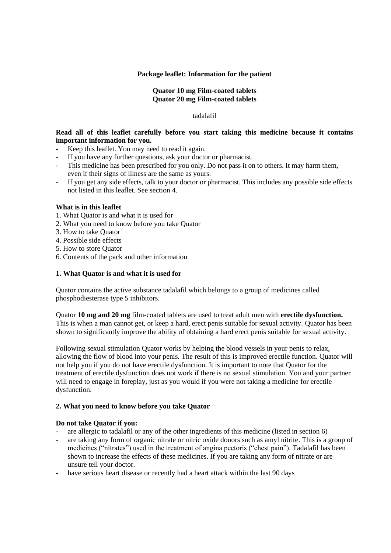# **Package leaflet: Information for the patient**

# **Quator 10 mg Film-coated tablets Quator 20 mg Film-coated tablets**

tadalafil

# **Read all of this leaflet carefully before you start taking this medicine because it contains important information for you.**

- Keep this leaflet. You may need to read it again.
- If you have any further questions, ask your doctor or pharmacist.
- This medicine has been prescribed for you only. Do not pass it on to others. It may harm them, even if their signs of illness are the same as yours.
- If you get any side effects, talk to your doctor or pharmacist. This includes any possible side effects not listed in this leaflet. See section 4.

# **What is in this leaflet**

- 1. What Quator is and what it is used for
- 2. What you need to know before you take Quator
- 3. How to take Quator
- 4. Possible side effects
- 5. How to store Quator
- 6. Contents of the pack and other information

# **1. What Quator is and what it is used for**

Quator contains the active substance tadalafil which belongs to a group of medicines called phosphodiesterase type 5 inhibitors.

Quator **10 mg and 20 mg** film-coated tablets are used to treat adult men with **erectile dysfunction.** This is when a man cannot get, or keep a hard, erect penis suitable for sexual activity. Quator has been shown to significantly improve the ability of obtaining a hard erect penis suitable for sexual activity.

Following sexual stimulation Quator works by helping the blood vessels in your penis to relax, allowing the flow of blood into your penis. The result of this is improved erectile function. Quator will not help you if you do not have erectile dysfunction. It is important to note that Quator for the treatment of erectile dysfunction does not work if there is no sexual stimulation. You and your partner will need to engage in foreplay, just as you would if you were not taking a medicine for erectile dysfunction.

# **2. What you need to know before you take Quator**

# **Do not take Quator if you:**

- are allergic to tadalafil or any of the other ingredients of this medicine (listed in section 6)
- are taking any form of organic nitrate or nitric oxide donors such as amyl nitrite. This is a group of medicines ("nitrates") used in the treatment of angina pectoris ("chest pain"). Tadalafil has been shown to increase the effects of these medicines. If you are taking any form of nitrate or are unsure tell your doctor.
- have serious heart disease or recently had a heart attack within the last 90 days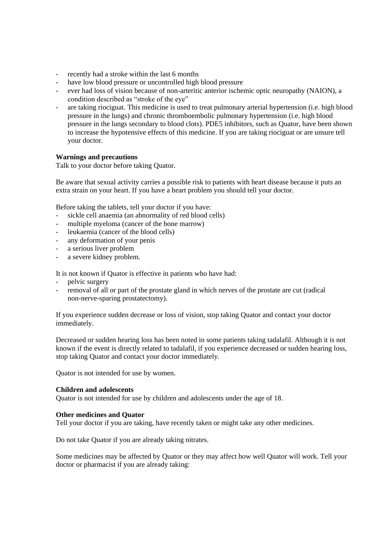- recently had a stroke within the last 6 months
- have low blood pressure or uncontrolled high blood pressure
- ever had loss of vision because of non-arteritic anterior ischemic optic neuropathy (NAION), a condition described as "stroke of the eye"
- are taking riociguat. This medicine is used to treat pulmonary arterial hypertension (i.e. high blood pressure in the lungs) and chronic thromboembolic pulmonary hypertension (i.e. high blood pressure in the lungs secondary to blood clots). PDE5 inhibitors, such as Quator, have been shown to increase the hypotensive effects of this medicine. If you are taking riociguat or are unsure tell your doctor.

#### **Warnings and precautions**

Talk to your doctor before taking Quator.

Be aware that sexual activity carries a possible risk to patients with heart disease because it puts an extra strain on your heart. If you have a heart problem you should tell your doctor.

Before taking the tablets, tell your doctor if you have:

- sickle cell anaemia (an abnormality of red blood cells)
- multiple myeloma (cancer of the bone marrow)
- leukaemia (cancer of the blood cells)
- any deformation of your penis
- a serious liver problem
- a severe kidney problem.

It is not known if Quator is effective in patients who have had:

- pelvic surgery
- removal of all or part of the prostate gland in which nerves of the prostate are cut (radical non-nerve-sparing prostatectomy).

If you experience sudden decrease or loss of vision, stop taking Quator and contact your doctor immediately.

Decreased or sudden hearing loss has been noted in some patients taking tadalafil. Although it is not known if the event is directly related to tadalafil, if you experience decreased or sudden hearing loss, stop taking Quator and contact your doctor immediately.

Quator is not intended for use by women.

#### **Children and adolescents**

Quator is not intended for use by children and adolescents under the age of 18.

# **Other medicines and Quator**

Tell your doctor if you are taking, have recently taken or might take any other medicines.

Do not take Quator if you are already taking nitrates.

Some medicines may be affected by Quator or they may affect how well Quator will work. Tell your doctor or pharmacist if you are already taking: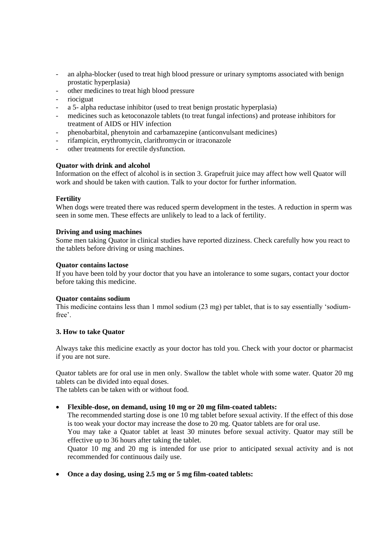- an alpha-blocker (used to treat high blood pressure or urinary symptoms associated with benign prostatic hyperplasia)
- other medicines to treat high blood pressure
- riociguat
- a 5- alpha reductase inhibitor (used to treat benign prostatic hyperplasia)
- medicines such as ketoconazole tablets (to treat fungal infections) and protease inhibitors for treatment of AIDS or HIV infection
- phenobarbital, phenytoin and carbamazepine (anticonvulsant medicines)
- rifampicin, erythromycin, clarithromycin or itraconazole
- other treatments for erectile dysfunction.

# **Quator with drink and alcohol**

Information on the effect of alcohol is in section 3. Grapefruit juice may affect how well Quator will work and should be taken with caution. Talk to your doctor for further information.

# **Fertility**

When dogs were treated there was reduced sperm development in the testes. A reduction in sperm was seen in some men. These effects are unlikely to lead to a lack of fertility.

# **Driving and using machines**

Some men taking Quator in clinical studies have reported dizziness. Check carefully how you react to the tablets before driving or using machines.

# **Quator contains lactose**

If you have been told by your doctor that you have an intolerance to some sugars, contact your doctor before taking this medicine.

# **Quator contains sodium**

This medicine contains less than 1 mmol sodium (23 mg) per tablet, that is to say essentially 'sodiumfree'.

# **3. How to take Quator**

Always take this medicine exactly as your doctor has told you. Check with your doctor or pharmacist if you are not sure.

Quator tablets are for oral use in men only. Swallow the tablet whole with some water. Quator 20 mg tablets can be divided into equal doses.

The tablets can be taken with or without food.

**Flexible-dose, on demand, using 10 mg or 20 mg film-coated tablets:**

The recommended starting dose is one 10 mg tablet before sexual activity. If the effect of this dose is too weak your doctor may increase the dose to 20 mg. Quator tablets are for oral use.

You may take a Quator tablet at least 30 minutes before sexual activity. Quator may still be effective up to 36 hours after taking the tablet.

Quator 10 mg and 20 mg is intended for use prior to anticipated sexual activity and is not recommended for continuous daily use.

**Once a day dosing, using 2.5 mg or 5 mg film-coated tablets:**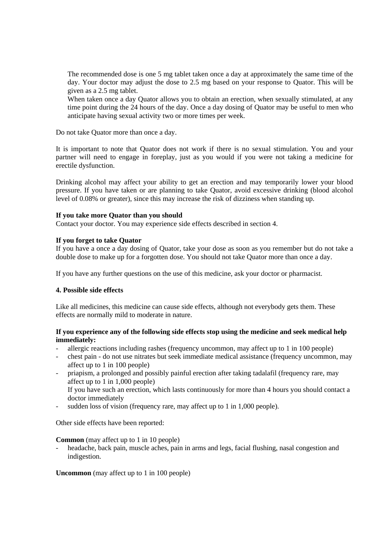The recommended dose is one 5 mg tablet taken once a day at approximately the same time of the day. Your doctor may adjust the dose to 2.5 mg based on your response to Quator. This will be given as a 2.5 mg tablet.

When taken once a day Quator allows you to obtain an erection, when sexually stimulated, at any time point during the 24 hours of the day. Once a day dosing of Quator may be useful to men who anticipate having sexual activity two or more times per week.

Do not take Quator more than once a day.

It is important to note that Quator does not work if there is no sexual stimulation. You and your partner will need to engage in foreplay, just as you would if you were not taking a medicine for erectile dysfunction.

Drinking alcohol may affect your ability to get an erection and may temporarily lower your blood pressure. If you have taken or are planning to take Quator, avoid excessive drinking (blood alcohol level of 0.08% or greater), since this may increase the risk of dizziness when standing up.

#### **If you take more Quator than you should**

Contact your doctor. You may experience side effects described in section 4.

#### **If you forget to take Quator**

If you have a once a day dosing of Quator, take your dose as soon as you remember but do not take a double dose to make up for a forgotten dose. You should not take Quator more than once a day.

If you have any further questions on the use of this medicine, ask your doctor or pharmacist.

# **4. Possible side effects**

Like all medicines, this medicine can cause side effects, although not everybody gets them. These effects are normally mild to moderate in nature.

# **If you experience any of the following side effects stop using the medicine and seek medical help immediately:**

- allergic reactions including rashes (frequency uncommon, may affect up to 1 in 100 people)
- chest pain do not use nitrates but seek immediate medical assistance (frequency uncommon, may affect up to 1 in 100 people)
- priapism, a prolonged and possibly painful erection after taking tadalafil (frequency rare, may affect up to 1 in 1,000 people) If you have such an erection, which lasts continuously for more than 4 hours you should contact a doctor immediately
- sudden loss of vision (frequency rare, may affect up to 1 in 1,000 people).

Other side effects have been reported:

**Common** (may affect up to 1 in 10 people)

headache, back pain, muscle aches, pain in arms and legs, facial flushing, nasal congestion and indigestion.

**Uncommon** (may affect up to 1 in 100 people)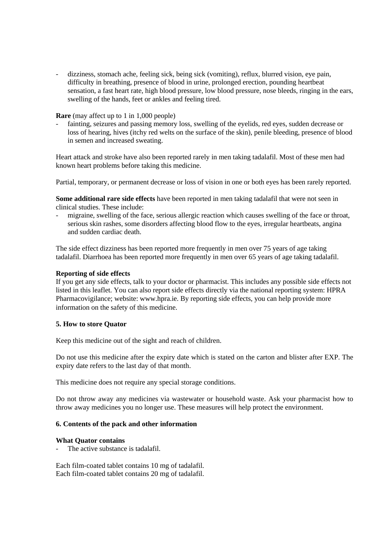- dizziness, stomach ache, feeling sick, being sick (vomiting), reflux, blurred vision, eye pain, difficulty in breathing, presence of blood in urine, prolonged erection, pounding heartbeat sensation, a fast heart rate, high blood pressure, low blood pressure, nose bleeds, ringing in the ears, swelling of the hands, feet or ankles and feeling tired.

**Rare** (may affect up to 1 in 1,000 people)

fainting, seizures and passing memory loss, swelling of the eyelids, red eyes, sudden decrease or loss of hearing, hives (itchy red welts on the surface of the skin), penile bleeding, presence of blood in semen and increased sweating.

Heart attack and stroke have also been reported rarely in men taking tadalafil. Most of these men had known heart problems before taking this medicine.

Partial, temporary, or permanent decrease or loss of vision in one or both eyes has been rarely reported.

**Some additional rare side effects** have been reported in men taking tadalafil that were not seen in clinical studies. These include:

- migraine, swelling of the face, serious allergic reaction which causes swelling of the face or throat, serious skin rashes, some disorders affecting blood flow to the eyes, irregular heartbeats, angina and sudden cardiac death.

The side effect dizziness has been reported more frequently in men over 75 years of age taking tadalafil. Diarrhoea has been reported more frequently in men over 65 years of age taking tadalafil.

#### **Reporting of side effects**

If you get any side effects, talk to your doctor or pharmacist. This includes any possible side effects not listed in this leaflet. You can also report side effects directly via the national reporting system: HPRA Pharmacovigilance; website: www.hpra.ie. By reporting side effects, you can help provide more information on the safety of this medicine.

#### **5. How to store Quator**

Keep this medicine out of the sight and reach of children.

Do not use this medicine after the expiry date which is stated on the carton and blister after EXP. The expiry date refers to the last day of that month.

This medicine does not require any special storage conditions.

Do not throw away any medicines via wastewater or household waste. Ask your pharmacist how to throw away medicines you no longer use. These measures will help protect the environment.

#### **6. Contents of the pack and other information**

#### **What Quator contains**

The active substance is tadalafil.

Each film-coated tablet contains 10 mg of tadalafil. Each film-coated tablet contains 20 mg of tadalafil.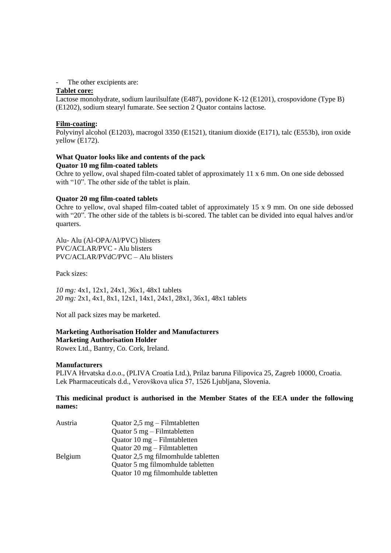- The other excipients are:

# **Tablet core:**

Lactose monohydrate, sodium laurilsulfate (E487), povidone K-12 (E1201), crospovidone (Type B) (E1202), sodium stearyl fumarate. See section 2 Quator contains lactose.

# **Film-coating:**

Polyvinyl alcohol (E1203), macrogol 3350 (E1521), titanium dioxide (E171), talc (E553b), iron oxide yellow (E172).

#### **What Quator looks like and contents of the pack Quator 10 mg film-coated tablets**

Ochre to yellow, oval shaped film-coated tablet of approximately 11 x 6 mm. On one side debossed with "10". The other side of the tablet is plain.

#### **Quator 20 mg film-coated tablets**

Ochre to yellow, oval shaped film-coated tablet of approximately 15 x 9 mm. On one side debossed with "20". The other side of the tablets is bi-scored. The tablet can be divided into equal halves and/or quarters.

Alu- Alu (Al-OPA/Al/PVC) blisters PVC/ACLAR/PVC - Alu blisters PVC/ACLAR/PVdC/PVC – Alu blisters

Pack sizes:

*10 mg:* 4x1, 12x1, 24x1, 36x1, 48x1 tablets *20 mg:* 2x1, 4x1, 8x1, 12x1, 14x1, 24x1, 28x1, 36x1, 48x1 tablets

Not all pack sizes may be marketed.

# **Marketing Authorisation Holder and Manufacturers Marketing Authorisation Holder**

Rowex Ltd., Bantry, Co. Cork, Ireland.

# **Manufacturers**

PLIVA Hrvatska d.o.o., (PLIVA Croatia Ltd.), Prilaz baruna Filipovica 25, Zagreb 10000, Croatia. Lek Pharmaceuticals d.d., Verovškova ulica 57, 1526 Ljubljana, Slovenia.

# **This medicinal product is authorised in the Member States of the EEA under the following names:**

| Austria | Quator $2.5 \text{ mg}$ – Filmtabletten        |
|---------|------------------------------------------------|
|         | Quator $5 \text{ mg} - \text{Filmtable}$       |
|         | Quator $10 \text{ mg}$ – Filmtabletten         |
|         | Quator $20 \text{ mg} - \text{Filmtable}$ tten |
| Belgium | Quator 2,5 mg filmomhulde tabletten            |
|         | Quator 5 mg filmomhulde tabletten              |
|         | Quator 10 mg filmomhulde tabletten             |